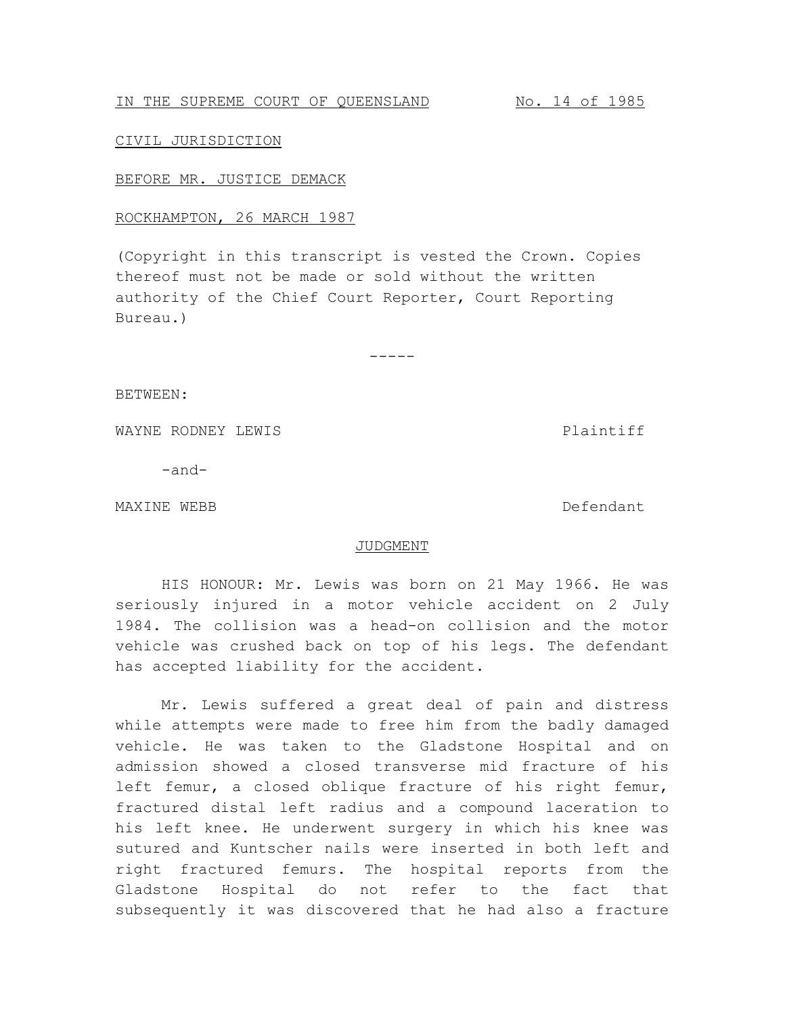# IN THE SUPREME COURT OF QUEENSLAND No. 14 of 1985

### CIVIL JURISDICTION

#### BEFORE MR. JUSTICE DEMACK

## ROCKHAMPTON, 26 MARCH 1987

(Copyright in this transcript is vested the Crown. Copies thereof must not be made or sold without the written authority of the Chief Court Reporter, Court Reporting Bureau.)

-----

BETWEEN:

WAYNE RODNEY LEWIS **Plaintiff** 

-and-

MAXINE WEBB **Defendant** 

### JUDGMENT

HIS HONOUR: Mr. Lewis was born on 21 May 1966. He was seriously injured in a motor vehicle accident on 2 July 1984. The collision was a head-on collision and the motor vehicle was crushed back on top of his legs. The defendant has accepted liability for the accident.

Mr. Lewis suffered a great deal of pain and distress while attempts were made to free him from the badly damaged vehicle. He was taken to the Gladstone Hospital and on admission showed a closed transverse mid fracture of his left femur, a closed oblique fracture of his right femur, fractured distal left radius and a compound laceration to his left knee. He underwent surgery in which his knee was sutured and Kuntscher nails were inserted in both left and right fractured femurs. The hospital reports from the Gladstone Hospital do not refer to the fact that subsequently it was discovered that he had also a fracture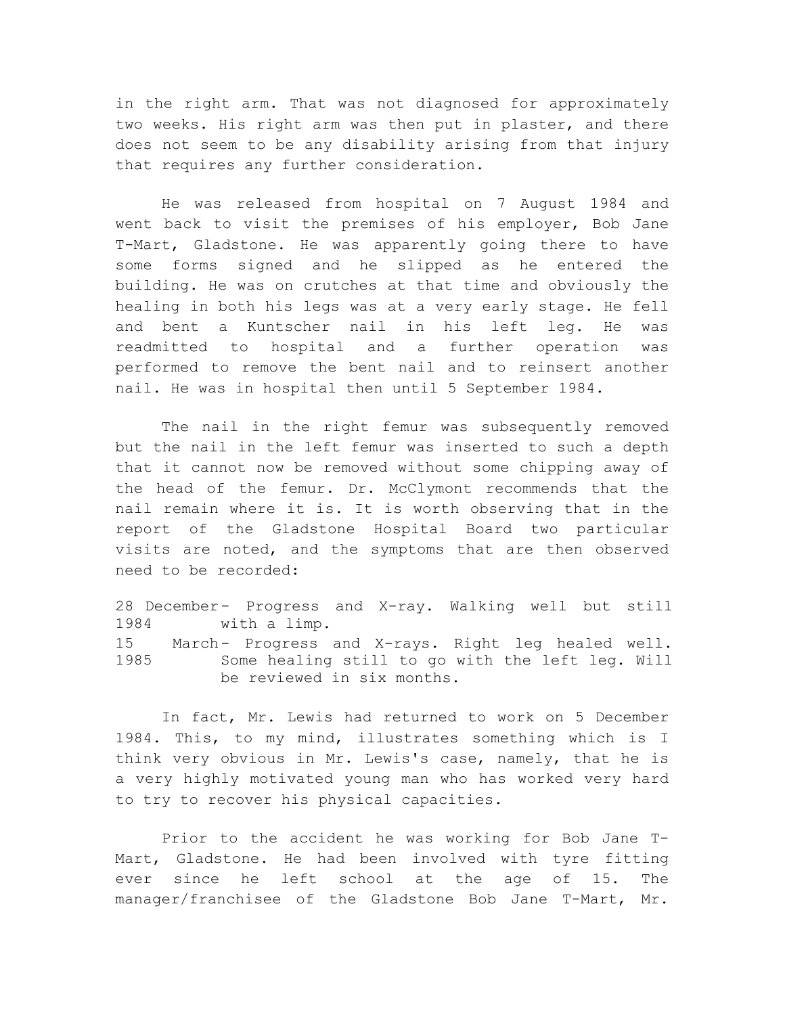in the right arm. That was not diagnosed for approximately two weeks. His right arm was then put in plaster, and there does not seem to be any disability arising from that injury that requires any further consideration.

He was released from hospital on 7 August 1984 and went back to visit the premises of his employer, Bob Jane T-Mart, Gladstone. He was apparently going there to have some forms signed and he slipped as he entered the building. He was on crutches at that time and obviously the healing in both his legs was at a very early stage. He fell and bent a Kuntscher nail in his left leg. He was readmitted to hospital and a further operation was performed to remove the bent nail and to reinsert another nail. He was in hospital then until 5 September 1984.

The nail in the right femur was subsequently removed but the nail in the left femur was inserted to such a depth that it cannot now be removed without some chipping away of the head of the femur. Dr. McClymont recommends that the nail remain where it is. It is worth observing that in the report of the Gladstone Hospital Board two particular visits are noted, and the symptoms that are then observed need to be recorded:

28 December- Progress and X-ray. Walking well but still 1984 with a limp. 15 March- Progress and X-rays. Right leg healed well. 1985 Some healing still to go with the left leg. Will be reviewed in six months.

In fact, Mr. Lewis had returned to work on 5 December 1984. This, to my mind, illustrates something which is I think very obvious in Mr. Lewis's case, namely, that he is a very highly motivated young man who has worked very hard to try to recover his physical capacities.

Prior to the accident he was working for Bob Jane T-Mart, Gladstone. He had been involved with tyre fitting ever since he left school at the age of 15. The manager/franchisee of the Gladstone Bob Jane T-Mart, Mr.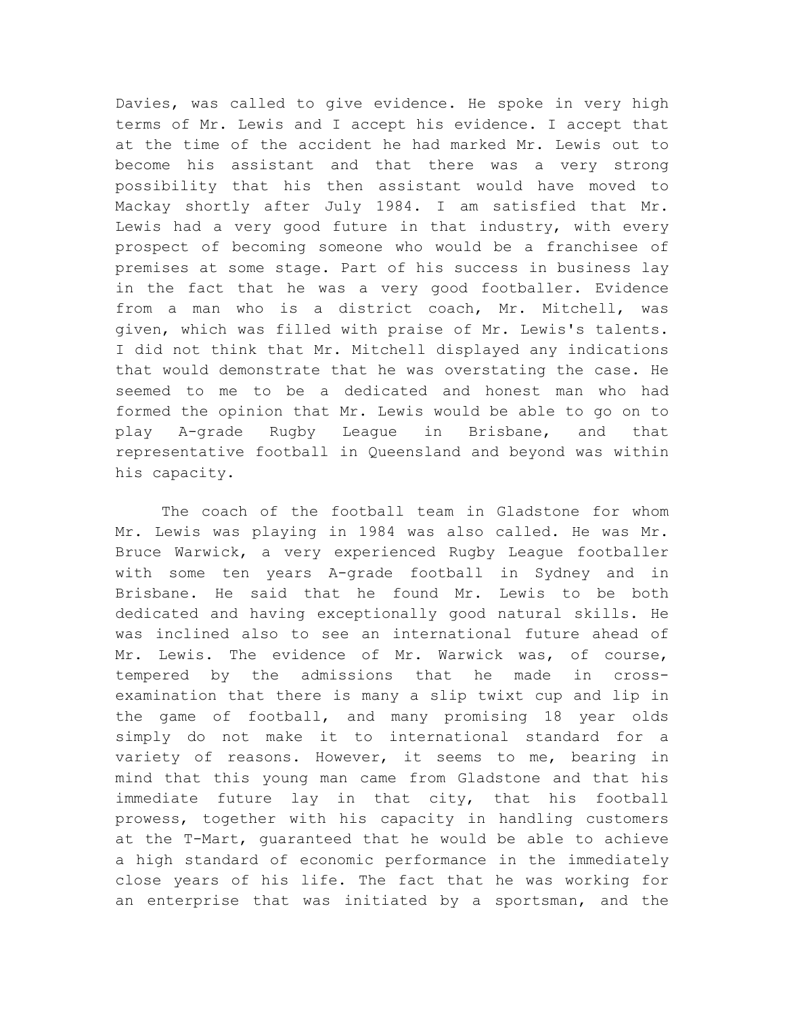Davies, was called to give evidence. He spoke in very high terms of Mr. Lewis and I accept his evidence. I accept that at the time of the accident he had marked Mr. Lewis out to become his assistant and that there was a very strong possibility that his then assistant would have moved to Mackay shortly after July 1984. I am satisfied that Mr. Lewis had a very good future in that industry, with every prospect of becoming someone who would be a franchisee of premises at some stage. Part of his success in business lay in the fact that he was a very good footballer. Evidence from a man who is a district coach, Mr. Mitchell, was given, which was filled with praise of Mr. Lewis's talents. I did not think that Mr. Mitchell displayed any indications that would demonstrate that he was overstating the case. He seemed to me to be a dedicated and honest man who had formed the opinion that Mr. Lewis would be able to go on to play A-grade Rugby League in Brisbane, and that representative football in Queensland and beyond was within his capacity.

The coach of the football team in Gladstone for whom Mr. Lewis was playing in 1984 was also called. He was Mr. Bruce Warwick, a very experienced Rugby League footballer with some ten years A-grade football in Sydney and in Brisbane. He said that he found Mr. Lewis to be both dedicated and having exceptionally good natural skills. He was inclined also to see an international future ahead of Mr. Lewis. The evidence of Mr. Warwick was, of course, tempered by the admissions that he made in crossexamination that there is many a slip twixt cup and lip in the game of football, and many promising 18 year olds simply do not make it to international standard for a variety of reasons. However, it seems to me, bearing in mind that this young man came from Gladstone and that his immediate future lay in that city, that his football prowess, together with his capacity in handling customers at the T-Mart, guaranteed that he would be able to achieve a high standard of economic performance in the immediately close years of his life. The fact that he was working for an enterprise that was initiated by a sportsman, and the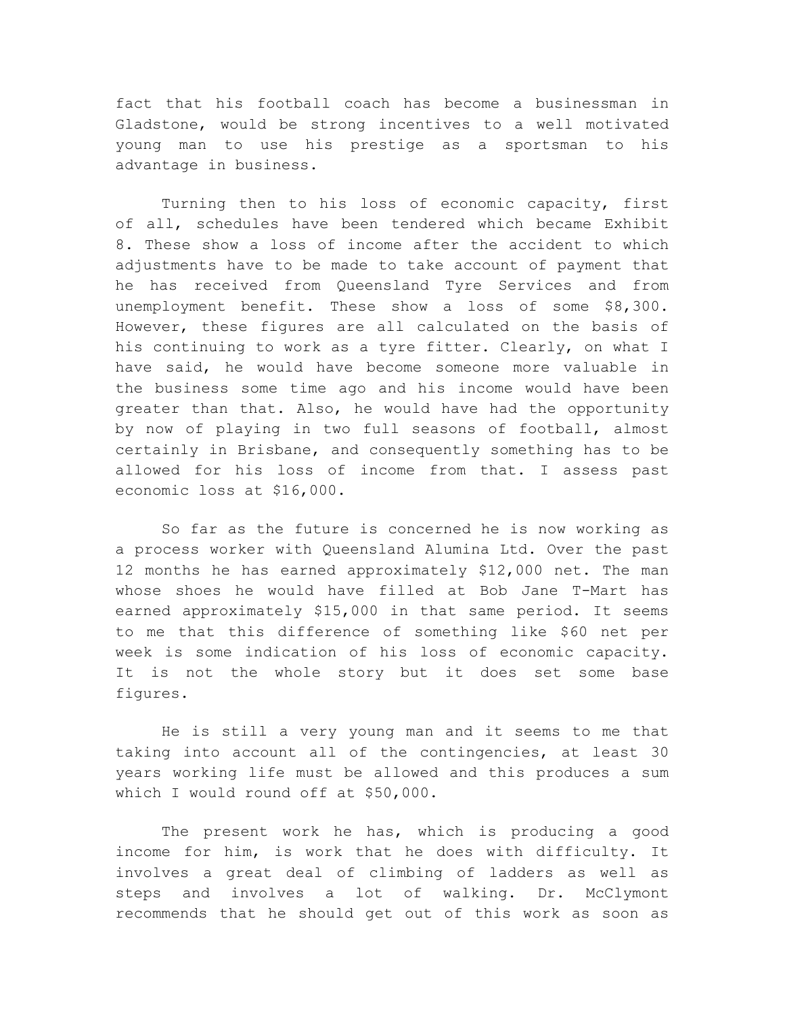fact that his football coach has become a businessman in Gladstone, would be strong incentives to a well motivated young man to use his prestige as a sportsman to his advantage in business.

Turning then to his loss of economic capacity, first of all, schedules have been tendered which became Exhibit 8. These show a loss of income after the accident to which adjustments have to be made to take account of payment that he has received from Queensland Tyre Services and from unemployment benefit. These show a loss of some \$8,300. However, these figures are all calculated on the basis of his continuing to work as a tyre fitter. Clearly, on what I have said, he would have become someone more valuable in the business some time ago and his income would have been greater than that. Also, he would have had the opportunity by now of playing in two full seasons of football, almost certainly in Brisbane, and consequently something has to be allowed for his loss of income from that. I assess past economic loss at \$16,000.

So far as the future is concerned he is now working as a process worker with Queensland Alumina Ltd. Over the past 12 months he has earned approximately \$12,000 net. The man whose shoes he would have filled at Bob Jane T-Mart has earned approximately \$15,000 in that same period. It seems to me that this difference of something like \$60 net per week is some indication of his loss of economic capacity. It is not the whole story but it does set some base figures.

He is still a very young man and it seems to me that taking into account all of the contingencies, at least 30 years working life must be allowed and this produces a sum which I would round off at \$50,000.

The present work he has, which is producing a good income for him, is work that he does with difficulty. It involves a great deal of climbing of ladders as well as steps and involves a lot of walking. Dr. McClymont recommends that he should get out of this work as soon as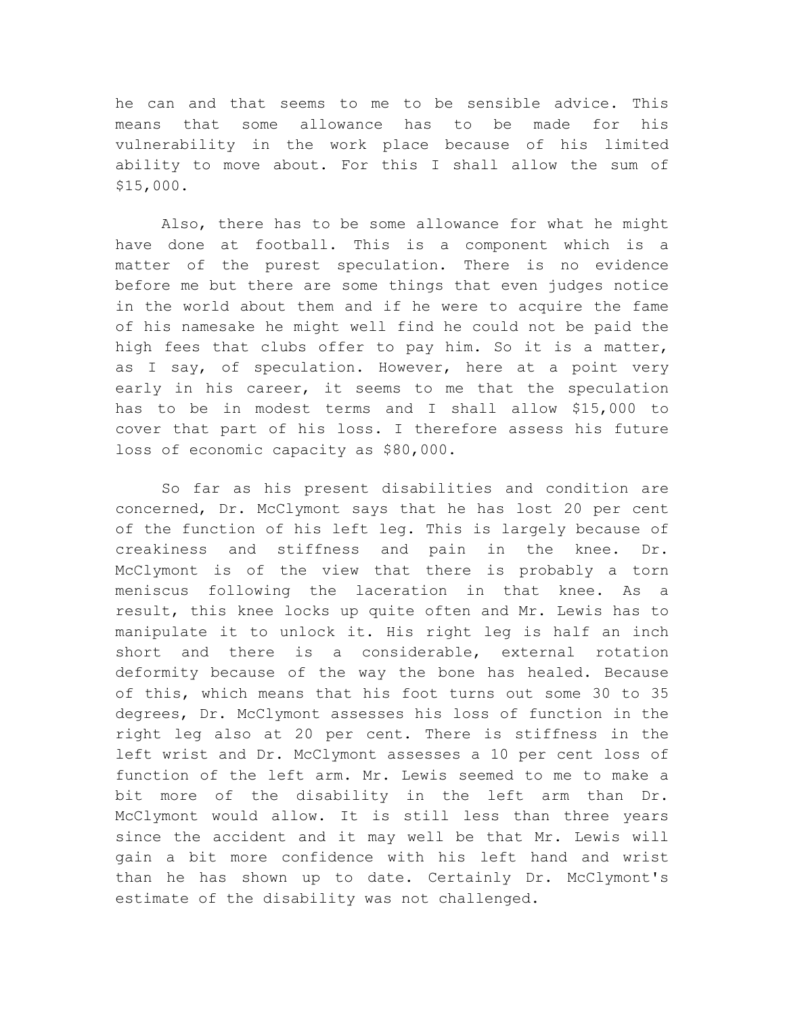he can and that seems to me to be sensible advice. This means that some allowance has to be made for his vulnerability in the work place because of his limited ability to move about. For this I shall allow the sum of \$15,000.

Also, there has to be some allowance for what he might have done at football. This is a component which is a matter of the purest speculation. There is no evidence before me but there are some things that even judges notice in the world about them and if he were to acquire the fame of his namesake he might well find he could not be paid the high fees that clubs offer to pay him. So it is a matter, as I say, of speculation. However, here at a point very early in his career, it seems to me that the speculation has to be in modest terms and I shall allow \$15,000 to cover that part of his loss. I therefore assess his future loss of economic capacity as \$80,000.

So far as his present disabilities and condition are concerned, Dr. McClymont says that he has lost 20 per cent of the function of his left leg. This is largely because of creakiness and stiffness and pain in the knee. Dr. McClymont is of the view that there is probably a torn meniscus following the laceration in that knee. As a result, this knee locks up quite often and Mr. Lewis has to manipulate it to unlock it. His right leg is half an inch short and there is a considerable, external rotation deformity because of the way the bone has healed. Because of this, which means that his foot turns out some 30 to 35 degrees, Dr. McClymont assesses his loss of function in the right leg also at 20 per cent. There is stiffness in the left wrist and Dr. McClymont assesses a 10 per cent loss of function of the left arm. Mr. Lewis seemed to me to make a bit more of the disability in the left arm than Dr. McClymont would allow. It is still less than three years since the accident and it may well be that Mr. Lewis will gain a bit more confidence with his left hand and wrist than he has shown up to date. Certainly Dr. McClymont's estimate of the disability was not challenged.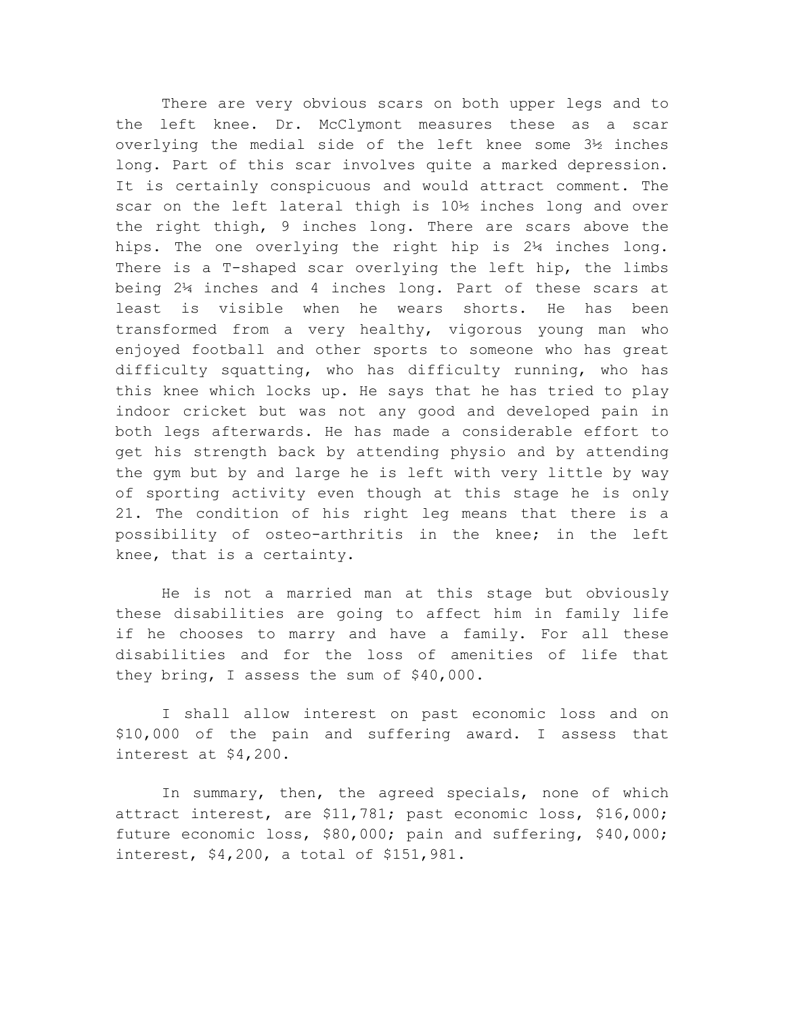There are very obvious scars on both upper legs and to the left knee. Dr. McClymont measures these as a scar overlying the medial side of the left knee some 3½ inches long. Part of this scar involves quite a marked depression. It is certainly conspicuous and would attract comment. The scar on the left lateral thigh is 10½ inches long and over the right thigh, 9 inches long. There are scars above the hips. The one overlying the right hip is 2¼ inches long. There is a T-shaped scar overlying the left hip, the limbs being 2¼ inches and 4 inches long. Part of these scars at least is visible when he wears shorts. He has been transformed from a very healthy, vigorous young man who enjoyed football and other sports to someone who has great difficulty squatting, who has difficulty running, who has this knee which locks up. He says that he has tried to play indoor cricket but was not any good and developed pain in both legs afterwards. He has made a considerable effort to get his strength back by attending physio and by attending the gym but by and large he is left with very little by way of sporting activity even though at this stage he is only 21. The condition of his right leg means that there is a possibility of osteo-arthritis in the knee; in the left knee, that is a certainty.

He is not a married man at this stage but obviously these disabilities are going to affect him in family life if he chooses to marry and have a family. For all these disabilities and for the loss of amenities of life that they bring, I assess the sum of \$40,000.

I shall allow interest on past economic loss and on \$10,000 of the pain and suffering award. I assess that interest at \$4,200.

In summary, then, the agreed specials, none of which attract interest, are \$11,781; past economic loss, \$16,000; future economic loss, \$80,000; pain and suffering, \$40,000; interest, \$4,200, a total of \$151,981.